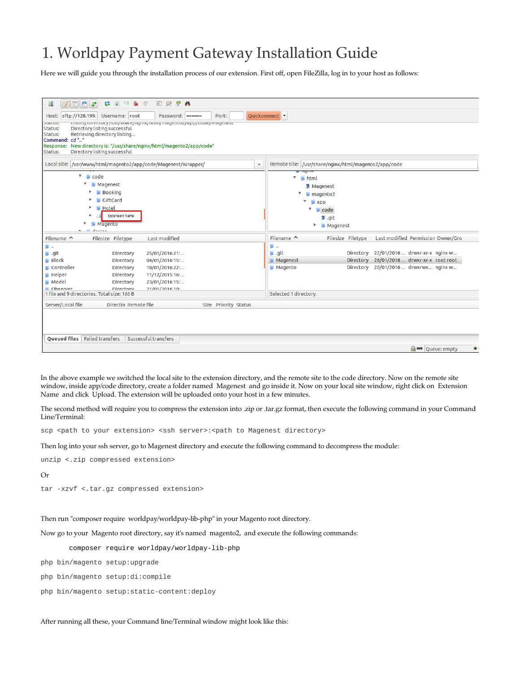## 1. Worldpay Payment Gateway Installation Guide

Here we will guide you through the installation process of our extension. First off, open FileZilla, log in to your host as follows:

| Host: sftp://128.199.<br>acacus.<br>Status:<br>Status:<br>Command: cd"" | Username: root<br>Directory listing successful<br>Retrieving directory listing             | Password:  <br>Listing on eccory / usi/share/nginx/ncmy magencoz/app/coue/magenesc<br>Response: New directory is: "/usr/share/nginx/html/magento2/app/code" | Port:                                                | Quickconnect                             |                                                                                            |                                                                                                  |  |
|-------------------------------------------------------------------------|--------------------------------------------------------------------------------------------|-------------------------------------------------------------------------------------------------------------------------------------------------------------|------------------------------------------------------|------------------------------------------|--------------------------------------------------------------------------------------------|--------------------------------------------------------------------------------------------------|--|
| Status:                                                                 | Directory listing successful                                                               |                                                                                                                                                             |                                                      |                                          |                                                                                            |                                                                                                  |  |
|                                                                         |                                                                                            | Local site: /var/www/html/magento2/app/code/Magenest/Wrapper/                                                                                               | Remote site: /usr/share/nginx/html/magento2/app/code |                                          |                                                                                            |                                                                                                  |  |
| $\sqrt{\phantom{a}}$ code                                               | Magenest<br><b>Booking</b><br>GiftCard<br><b>Hotel</b><br><b>Extension Name</b><br>Magento |                                                                                                                                                             |                                                      | V<br>html<br>₩.<br>$\boldsymbol{\nabla}$ | ? Magenest<br>magento <sub>2</sub><br>$\Box$ app<br>▼<br>code<br>$2$ .git<br>Magenest<br>Þ |                                                                                                  |  |
| Filename ^                                                              | Filesize Filetype                                                                          | Last modified                                                                                                                                               |                                                      | Filename ^                               | Filesize Filetype                                                                          | Last modified Permission Owner/Gro                                                               |  |
| 틸<br>git.<br>Block<br>Controller<br><b>Helper</b><br>Model<br>Observer  | Directory<br>Directory<br>Directory<br>Directory<br>Directory<br>Directory                 | 25/01/2016 21:<br>04/01/2016 15:<br>18/01/2016 22:<br>11/12/2015 16:<br>23/01/2016 15:<br>21/01/201610                                                      |                                                      | 圖<br>__ .git<br>Magenest<br>Magento      | Directory<br>Directory<br>Directory                                                        | 22/01/2016 drwxr-xr-x nginx w<br>26/01/2016 drwxr-xr-x root root<br>20/01/2016  drwxrwx  nginx w |  |
| 1 file and 9 directories. Total size: 166 B                             |                                                                                            |                                                                                                                                                             |                                                      | Selected 1 directory.                    |                                                                                            |                                                                                                  |  |
| Server/Local file                                                       | Directio Remote file                                                                       |                                                                                                                                                             | Size Priority Status                                 |                                          |                                                                                            |                                                                                                  |  |
| <b>Oueued files</b> Failed transfers                                    |                                                                                            | Successful transfers                                                                                                                                        |                                                      |                                          |                                                                                            | <b>Red</b> Queue: empty                                                                          |  |

In the above example we switched the local site to the extension directory, and the remote site to the code directory. Now on the remote site window, inside app/code directory, create a folder named Magenest and go inside it. Now on your local site window, right click on Extension Name and click Upload. The extension will be uploaded onto your host in a few minutes.

The second method will require you to compress the extension into .zip or .tar.gz format, then execute the following command in your Command Line/Terminal:

scp <path to your extension> <ssh server>:<path to Magenest directory>

Then log into your ssh server, go to Magenest directory and execute the following command to decompress the module:

```
unzip <.zip compressed extension>
```
Or

tar -xzvf <.tar.gz compressed extension>

## Then run "composer require worldpay/worldpay-lib-php" in your Magento root directory.

Now go to your Magento root directory, say it's named magento2, and execute the following commands:

composer require worldpay/worldpay-lib-php

php bin/magento setup:upgrade

```
php bin/magento setup:di:compile
```

```
php bin/magento setup:static-content:deploy
```
After running all these, your Command line/Terminal window might look like this: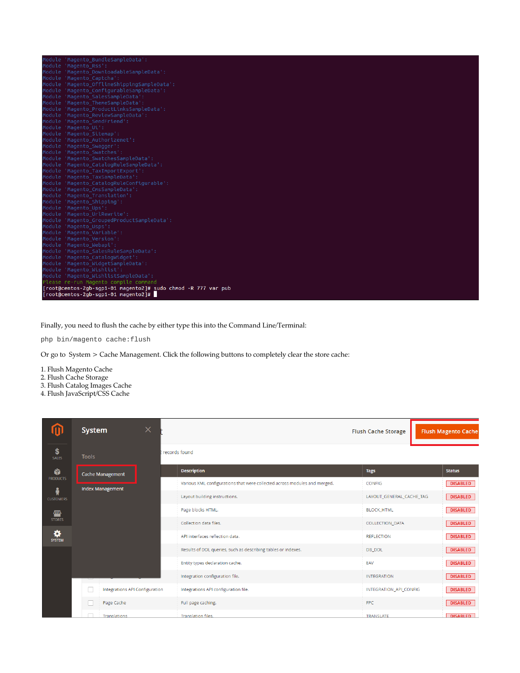| Module 'Magento BundleSampleData':                            |  |  |  |  |  |  |
|---------------------------------------------------------------|--|--|--|--|--|--|
| Module 'Magento Rss':                                         |  |  |  |  |  |  |
| Module 'Magento_DownloadableSampleData':                      |  |  |  |  |  |  |
| Module 'Magento Captcha':                                     |  |  |  |  |  |  |
| Module 'Magento OfflineShippingSampleData':                   |  |  |  |  |  |  |
| Module 'Magento ConfigurableSampleData':                      |  |  |  |  |  |  |
| Module 'Magento_SalesSampleData':                             |  |  |  |  |  |  |
| Module 'Magento ThemeSampleData':                             |  |  |  |  |  |  |
| Module 'Magento ProductLinksSampleData':                      |  |  |  |  |  |  |
| Module 'Magento ReviewSampleData':                            |  |  |  |  |  |  |
| Module 'Magento SendFriend':                                  |  |  |  |  |  |  |
| Module 'Magento Ui':                                          |  |  |  |  |  |  |
| Module 'Magento Sitemap':                                     |  |  |  |  |  |  |
| Module 'Magento_Authorizenet':                                |  |  |  |  |  |  |
| Module 'Magento Swagger':                                     |  |  |  |  |  |  |
| Module 'Magento Swatches':                                    |  |  |  |  |  |  |
| Module 'Magento SwatchesSampleData':                          |  |  |  |  |  |  |
| Module 'Magento CatalogRuleSampleData':                       |  |  |  |  |  |  |
| Module 'Magento TaxImportExport':                             |  |  |  |  |  |  |
| Module 'Magento TaxSampleData':                               |  |  |  |  |  |  |
| Module 'Magento CatalogRuleConfigurable':                     |  |  |  |  |  |  |
| Module 'Magento CmsSampleData':                               |  |  |  |  |  |  |
| Module 'Magento Translation':                                 |  |  |  |  |  |  |
| Module 'Magento Shipping':                                    |  |  |  |  |  |  |
| Module 'Magento Ups':                                         |  |  |  |  |  |  |
| Module 'Magento UrlRewrite':                                  |  |  |  |  |  |  |
| Module 'Magento GroupedProductSampleData':                    |  |  |  |  |  |  |
| Module 'Magento Usps':                                        |  |  |  |  |  |  |
| Module 'Magento Variable':                                    |  |  |  |  |  |  |
| Module 'Magento Version':                                     |  |  |  |  |  |  |
| Module 'Magento Webapi':                                      |  |  |  |  |  |  |
| Module 'Magento SalesRuleSampleData':                         |  |  |  |  |  |  |
| Module 'Magento CatalogWidget':                               |  |  |  |  |  |  |
| Module 'Magento WidgetSampleData':                            |  |  |  |  |  |  |
| Module 'Magento Wishlist':                                    |  |  |  |  |  |  |
| Module 'Magento WishlistSampleData':                          |  |  |  |  |  |  |
| Please re-run Magento compile command                         |  |  |  |  |  |  |
| [root@centos-2qb-sqp1-01 magento2]# sudo chmod -R 777 var pub |  |  |  |  |  |  |
| [root@centos-2qb-sqp1-01 magento2]#                           |  |  |  |  |  |  |

Finally, you need to flush the cache by either type this into the Command Line/Terminal:

php bin/magento cache:flush

Or go to System > Cache Management. Click the following buttons to completely clear the store cache:

- 1. Flush Magento Cache
- 2. Flush Cache Storage
- 3. Flush Catalog Images Cache
- 4. Flush JavaScript/CSS Cache

|                       | <b>System</b>           |                                | $\times$                                                                  |                                                               | <b>Flush Cache Storage</b> | <b>Flush Magento Cache</b> |  |  |  |  |  |
|-----------------------|-------------------------|--------------------------------|---------------------------------------------------------------------------|---------------------------------------------------------------|----------------------------|----------------------------|--|--|--|--|--|
| \$<br>SALES           | <b>Tools</b>            |                                |                                                                           | records found                                                 |                            |                            |  |  |  |  |  |
| Ŵ<br><b>PRODUCTS</b>  |                         | <b>Cache Management</b>        |                                                                           | <b>Description</b>                                            | <b>Tags</b>                | <b>Status</b>              |  |  |  |  |  |
|                       | <b>Index Management</b> |                                | Various XML configurations that were collected across modules and merged. | CONFIG                                                        | <b>DISABLED</b>            |                            |  |  |  |  |  |
| ÷<br><b>CUSTOMERS</b> |                         |                                |                                                                           | Layout building instructions.                                 | LAYOUT_GENERAL_CACHE_TAG   | <b>DISABLED</b>            |  |  |  |  |  |
| ▥                     |                         |                                |                                                                           | Page blocks HTML.                                             | <b>BLOCK HTML</b>          | <b>DISABLED</b>            |  |  |  |  |  |
| <b>STORES</b>         |                         |                                |                                                                           | Collection data files.                                        | COLLECTION_DATA            | <b>DISABLED</b>            |  |  |  |  |  |
| ₩<br><b>SYSTEM</b>    |                         |                                |                                                                           | API interfaces reflection data.                               | <b>REFLECTION</b>          | <b>DISABLED</b>            |  |  |  |  |  |
|                       |                         |                                |                                                                           | Results of DDL queries, such as describing tables or indexes. | DB_DDL                     | <b>DISABLED</b>            |  |  |  |  |  |
|                       |                         |                                |                                                                           | Entity types declaration cache.                               | EAV                        | <b>DISABLED</b>            |  |  |  |  |  |
|                       |                         |                                |                                                                           | Integration configuration file.                               | <b>INTEGRATION</b>         | <b>DISABLED</b>            |  |  |  |  |  |
|                       |                         | Integrations API Configuration |                                                                           | Integrations API configuration file.                          | INTEGRATION API_CONFIG     | <b>DISABLED</b>            |  |  |  |  |  |
|                       |                         | Page Cache                     |                                                                           | Full page caching.                                            | FPC                        | <b>DISABLED</b>            |  |  |  |  |  |
|                       |                         | Translations                   |                                                                           | <b>Translation files.</b>                                     | <b>TRANSLATE</b>           | <b>DISABLED</b>            |  |  |  |  |  |